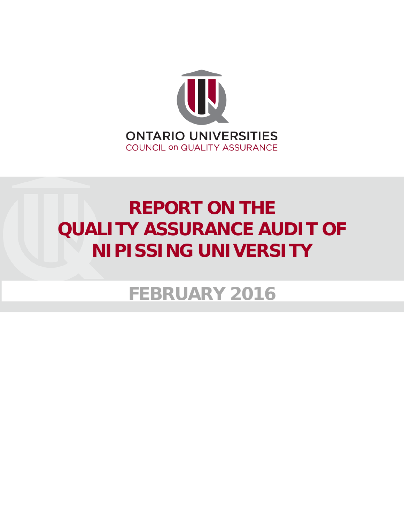

# **REPORT ON THE QUALITY ASSURANCE AUDIT OF NIPISSING UNIVERSITY**

**FEBRUARY 2016**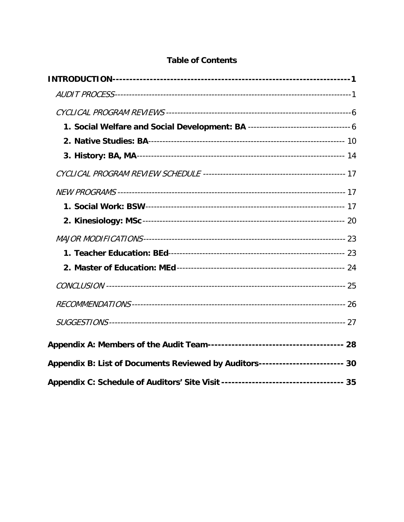## **Table of Contents**

| Appendix B: List of Documents Reviewed by Auditors------------------------ 30 |  |  |  |
|-------------------------------------------------------------------------------|--|--|--|
|                                                                               |  |  |  |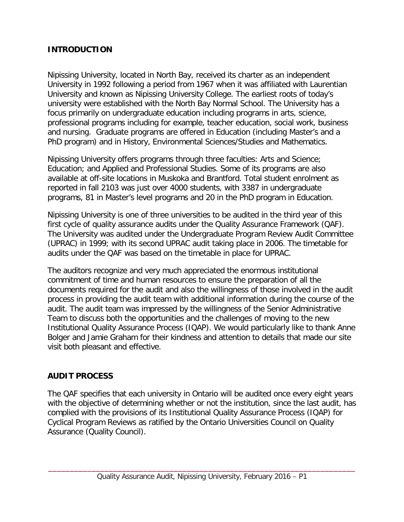#### <span id="page-3-0"></span>**INTRODUCTION**

Nipissing University, located in North Bay, received its charter as an independent University in 1992 following a period from 1967 when it was affiliated with Laurentian University and known as Nipissing University College. The earliest roots of today's university were established with the North Bay Normal School. The University has a focus primarily on undergraduate education including programs in arts, science, professional programs including for example, teacher education, social work, business and nursing. Graduate programs are offered in Education (including Master's and a PhD program) and in History, Environmental Sciences/Studies and Mathematics.

Nipissing University offers programs through three faculties: Arts and Science; Education; and Applied and Professional Studies. Some of its programs are also available at off-site locations in Muskoka and Brantford. Total student enrolment as reported in fall 2103 was just over 4000 students, with 3387 in undergraduate programs, 81 in Master's level programs and 20 in the PhD program in Education.

Nipissing University is one of three universities to be audited in the third year of this first cycle of quality assurance audits under the Quality Assurance Framework (QAF). The University was audited under the Undergraduate Program Review Audit Committee (UPRAC) in 1999; with its second UPRAC audit taking place in 2006. The timetable for audits under the QAF was based on the timetable in place for UPRAC.

The auditors recognize and very much appreciated the enormous institutional commitment of time and human resources to ensure the preparation of all the documents required for the audit and also the willingness of those involved in the audit process in providing the audit team with additional information during the course of the audit. The audit team was impressed by the willingness of the Senior Administrative Team to discuss both the opportunities and the challenges of moving to the new Institutional Quality Assurance Process (IQAP). We would particularly like to thank Anne Bolger and Jamie Graham for their kindness and attention to details that made our site visit both pleasant and effective.

## <span id="page-3-1"></span>**AUDIT PROCESS**

The QAF specifies that each university in Ontario will be audited once every eight years with the objective of determining whether or not the institution, since the last audit, has complied with the provisions of its Institutional Quality Assurance Process (IQAP) for Cyclical Program Reviews as ratified by the Ontario Universities Council on Quality Assurance (Quality Council).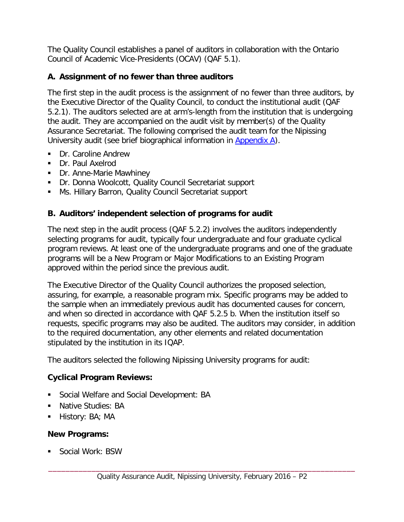The Quality Council establishes a panel of auditors in collaboration with the Ontario Council of Academic Vice-Presidents (OCAV) (QAF 5.1).

## **A. Assignment of no fewer than three auditors**

The first step in the audit process is the assignment of no fewer than three auditors, by the Executive Director of the Quality Council, to conduct the institutional audit (QAF 5.2.1). The auditors selected are at arm's-length from the institution that is undergoing the audit. They are accompanied on the audit visit by member(s) of the Quality Assurance Secretariat. The following comprised the audit team for the Nipissing University audit (see brief biographical information in [Appendix A\)](#page-30-0).

- Dr. Caroline Andrew
- Dr. Paul Axelrod
- Dr. Anne-Marie Mawhiney
- Dr. Donna Woolcott, Quality Council Secretariat support
- **Ms. Hillary Barron, Quality Council Secretariat support**

## **B. Auditors' independent selection of programs for audit**

The next step in the audit process (QAF 5.2.2) involves the auditors independently selecting programs for audit, typically four undergraduate and four graduate cyclical program reviews. At least one of the undergraduate programs and one of the graduate programs will be a New Program or Major Modifications to an Existing Program approved within the period since the previous audit.

The Executive Director of the Quality Council authorizes the proposed selection, assuring, for example, a reasonable program mix. Specific programs may be added to the sample when an immediately previous audit has documented causes for concern, and when so directed in accordance with QAF 5.2.5 b. When the institution itself so requests, specific programs may also be audited. The auditors may consider, in addition to the required documentation, any other elements and related documentation stipulated by the institution in its IQAP.

The auditors selected the following Nipissing University programs for audit:

## **Cyclical Program Reviews:**

- Social Welfare and Social Development: BA
- **Native Studies: BA**
- $\blacksquare$  History: BA; MA

#### **New Programs:**

**Social Work: BSW**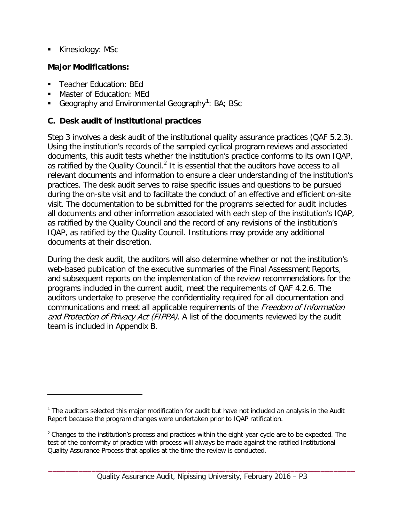Kinesiology: MSc

 $\overline{a}$ 

## **Major Modifications:**

- **Teacher Education: BEd**
- Master of Education: MEd
- Geography and Environmental Geography<sup>[1](#page-5-0)</sup>: BA; BSc

## **C. Desk audit of institutional practices**

Step 3 involves a desk audit of the institutional quality assurance practices (QAF 5.2.3). Using the institution's records of the sampled cyclical program reviews and associated documents, this audit tests whether the institution's practice conforms to its own IQAP, as ratified by the Quality Council.<sup>[2](#page-5-1)</sup> It is essential that the auditors have access to all relevant documents and information to ensure a clear understanding of the institution's practices. The desk audit serves to raise specific issues and questions to be pursued during the on-site visit and to facilitate the conduct of an effective and efficient on-site visit. The documentation to be submitted for the programs selected for audit includes all documents and other information associated with each step of the institution's IQAP, as ratified by the Quality Council and the record of any revisions of the institution's IQAP, as ratified by the Quality Council. Institutions may provide any additional documents at their discretion.

During the desk audit, the auditors will also determine whether or not the institution's web-based publication of the executive summaries of the Final Assessment Reports, and subsequent reports on the implementation of the review recommendations for the programs included in the current audit, meet the requirements of QAF 4.2.6. The auditors undertake to preserve the confidentiality required for all documentation and communications and meet all applicable requirements of the Freedom of Information and Protection of Privacy Act (FIPPA). A list of the documents reviewed by the audit team is included in Appendix B.

<span id="page-5-0"></span> $<sup>1</sup>$  The auditors selected this major modification for audit but have not included an analysis in the Audit</sup> Report because the program changes were undertaken prior to IQAP ratification.

<span id="page-5-1"></span> $2$  Changes to the institution's process and practices within the eight-year cycle are to be expected. The test of the conformity of practice with process will always be made against the ratified Institutional Quality Assurance Process that applies at the time the review is conducted.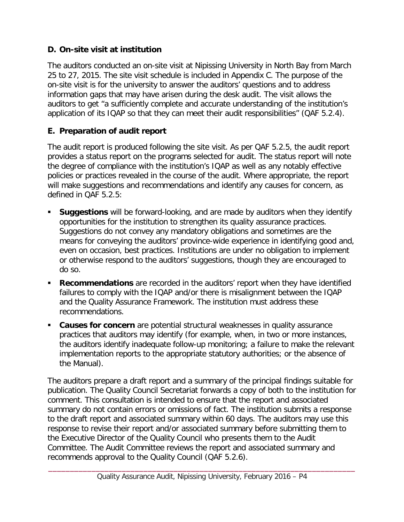## **D. On-site visit at institution**

The auditors conducted an on-site visit at Nipissing University in North Bay from March 25 to 27, 2015. The site visit schedule is included in Appendix C. The purpose of the on-site visit is for the university to answer the auditors' questions and to address information gaps that may have arisen during the desk audit. The visit allows the auditors to get "a sufficiently complete and accurate understanding of the institution's application of its IQAP so that they can meet their audit responsibilities" (QAF 5.2.4).

## **E. Preparation of audit report**

The audit report is produced following the site visit. As per QAF 5.2.5, the audit report provides a status report on the programs selected for audit. The status report will note the degree of compliance with the institution's IQAP as well as any notably effective policies or practices revealed in the course of the audit. Where appropriate, the report will make suggestions and recommendations and identify any causes for concern, as defined in QAF 5.2.5:

- **Suggestions** will be forward-looking, and are made by auditors when they identify opportunities for the institution to strengthen its quality assurance practices. Suggestions do not convey any mandatory obligations and sometimes are the means for conveying the auditors' province-wide experience in identifying good and, even on occasion, best practices. Institutions are under no obligation to implement or otherwise respond to the auditors' suggestions, though they are encouraged to do so.
- **Recommendations** are recorded in the auditors' report when they have identified failures to comply with the IQAP and/or there is misalignment between the IQAP and the Quality Assurance Framework. The institution must address these recommendations.
- **Causes for concern** are potential structural weaknesses in quality assurance practices that auditors may identify (for example, when, in two or more instances, the auditors identify inadequate follow-up monitoring; a failure to make the relevant implementation reports to the appropriate statutory authorities; or the absence of the Manual).

The auditors prepare a draft report and a summary of the principal findings suitable for publication. The Quality Council Secretariat forwards a copy of both to the institution for comment. This consultation is intended to ensure that the report and associated summary do not contain errors or omissions of fact. The institution submits a response to the draft report and associated summary within 60 days. The auditors may use this response to revise their report and/or associated summary before submitting them to the Executive Director of the Quality Council who presents them to the Audit Committee. The Audit Committee reviews the report and associated summary and recommends approval to the Quality Council (QAF 5.2.6).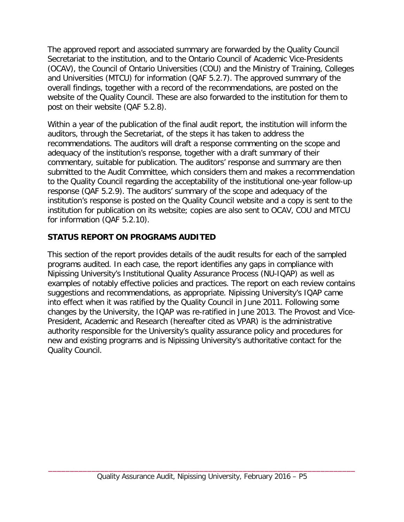The approved report and associated summary are forwarded by the Quality Council Secretariat to the institution, and to the Ontario Council of Academic Vice-Presidents (OCAV), the Council of Ontario Universities (COU) and the Ministry of Training, Colleges and Universities (MTCU) for information (QAF 5.2.7). The approved summary of the overall findings, together with a record of the recommendations, are posted on the website of the Quality Council. These are also forwarded to the institution for them to post on their website (QAF 5.2.8).

Within a year of the publication of the final audit report, the institution will inform the auditors, through the Secretariat, of the steps it has taken to address the recommendations. The auditors will draft a response commenting on the scope and adequacy of the institution's response, together with a draft summary of their commentary, suitable for publication. The auditors' response and summary are then submitted to the Audit Committee, which considers them and makes a recommendation to the Quality Council regarding the acceptability of the institutional one-year follow-up response (QAF 5.2.9). The auditors' summary of the scope and adequacy of the institution's response is posted on the Quality Council website and a copy is sent to the institution for publication on its website; copies are also sent to OCAV, COU and MTCU for information (QAF 5.2.10).

## **STATUS REPORT ON PROGRAMS AUDITED**

This section of the report provides details of the audit results for each of the sampled programs audited. In each case, the report identifies any gaps in compliance with Nipissing University's Institutional Quality Assurance Process (NU-IQAP) as well as examples of notably effective policies and practices. The report on each review contains suggestions and recommendations, as appropriate. Nipissing University's IQAP came into effect when it was ratified by the Quality Council in June 2011. Following some changes by the University, the IQAP was re-ratified in June 2013. The Provost and Vice-President, Academic and Research (hereafter cited as VPAR) is the administrative authority responsible for the University's quality assurance policy and procedures for new and existing programs and is Nipissing University's authoritative contact for the Quality Council.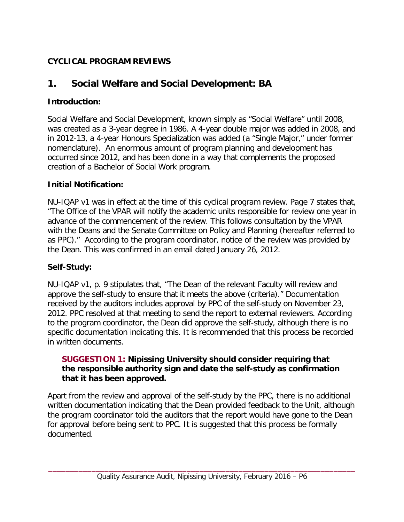# **CYCLICAL PROGRAM REVIEWS**

# <span id="page-8-0"></span>**1. Social Welfare and Social Development: BA**

# **Introduction:**

Social Welfare and Social Development, known simply as "Social Welfare" until 2008, was created as a 3-year degree in 1986. A 4-year double major was added in 2008, and in 2012-13, a 4-year Honours Specialization was added (a "Single Major," under former nomenclature). An enormous amount of program planning and development has occurred since 2012, and has been done in a way that complements the proposed creation of a Bachelor of Social Work program.

## **Initial Notification:**

NU-IQAP v1 was in effect at the time of this cyclical program review. Page 7 states that, "The Office of the VPAR will notify the academic units responsible for review one year in advance of the commencement of the review. This follows consultation by the VPAR with the Deans and the Senate Committee on Policy and Planning (hereafter referred to as PPC)." According to the program coordinator, notice of the review was provided by the Dean. This was confirmed in an email dated January 26, 2012.

## **Self-Study:**

NU-IQAP v1, p. 9 stipulates that, "The Dean of the relevant Faculty will review and approve the self-study to ensure that it meets the above (criteria)." Documentation received by the auditors includes approval by PPC of the self-study on November 23, 2012. PPC resolved at that meeting to send the report to external reviewers. According to the program coordinator, the Dean did approve the self-study, although there is no specific documentation indicating this. It is recommended that this process be recorded in written documents.

#### <span id="page-8-1"></span>**SUGGESTION 1: Nipissing University should consider requiring that the responsible authority sign and date the self-study as confirmation that it has been approved.**

Apart from the review and approval of the self-study by the PPC, there is no additional written documentation indicating that the Dean provided feedback to the Unit, although the program coordinator told the auditors that the report would have gone to the Dean for approval before being sent to PPC. It is suggested that this process be formally documented.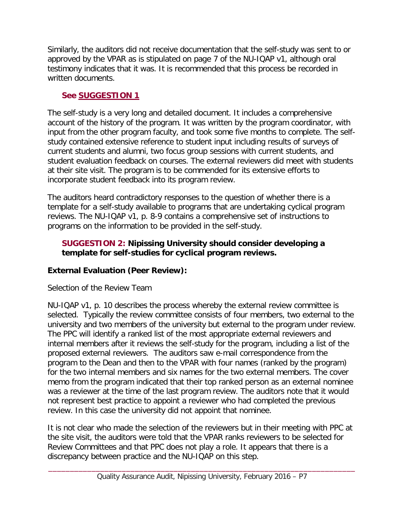Similarly, the auditors did not receive documentation that the self-study was sent to or approved by the VPAR as is stipulated on page 7 of the NU-IQAP v1, although oral testimony indicates that it was. It is recommended that this process be recorded in written documents.

# **See [SUGGESTION 1](#page-8-1)**

The self-study is a very long and detailed document. It includes a comprehensive account of the history of the program. It was written by the program coordinator, with input from the other program faculty, and took some five months to complete. The selfstudy contained extensive reference to student input including results of surveys of current students and alumni, two focus group sessions with current students, and student evaluation feedback on courses. The external reviewers did meet with students at their site visit. The program is to be commended for its extensive efforts to incorporate student feedback into its program review.

The auditors heard contradictory responses to the question of whether there is a template for a self-study available to programs that are undertaking cyclical program reviews. The NU-IQAP v1, p. 8-9 contains a comprehensive set of instructions to programs on the information to be provided in the self-study.

## <span id="page-9-0"></span>**SUGGESTION 2: Nipissing University should consider developing a template for self-studies for cyclical program reviews.**

# **External Evaluation (Peer Review):**

# Selection of the Review Team

NU-IQAP v1, p. 10 describes the process whereby the external review committee is selected. Typically the review committee consists of four members, two external to the university and two members of the university but external to the program under review. The PPC will identify a ranked list of the most appropriate external reviewers and internal members after it reviews the self-study for the program, including a list of the proposed external reviewers. The auditors saw e-mail correspondence from the program to the Dean and then to the VPAR with four names (ranked by the program) for the two internal members and six names for the two external members. The cover memo from the program indicated that their top ranked person as an external nominee was a reviewer at the time of the last program review. The auditors note that it would not represent best practice to appoint a reviewer who had completed the previous review. In this case the university did not appoint that nominee.

It is not clear who made the selection of the reviewers but in their meeting with PPC at the site visit, the auditors were told that the VPAR ranks reviewers to be selected for Review Committees and that PPC does not play a role. It appears that there is a discrepancy between practice and the NU-IQAP on this step.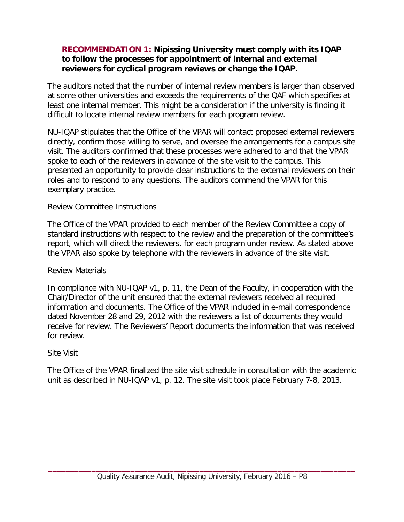#### <span id="page-10-0"></span>**RECOMMENDATION 1: Nipissing University must comply with its IQAP to follow the processes for appointment of internal and external reviewers for cyclical program reviews or change the IQAP.**

The auditors noted that the number of internal review members is larger than observed at some other universities and exceeds the requirements of the QAF which specifies at least one internal member. This might be a consideration if the university is finding it difficult to locate internal review members for each program review.

NU-IQAP stipulates that the Office of the VPAR will contact proposed external reviewers directly, confirm those willing to serve, and oversee the arrangements for a campus site visit. The auditors confirmed that these processes were adhered to and that the VPAR spoke to each of the reviewers in advance of the site visit to the campus. This presented an opportunity to provide clear instructions to the external reviewers on their roles and to respond to any questions. The auditors commend the VPAR for this exemplary practice.

#### Review Committee Instructions

The Office of the VPAR provided to each member of the Review Committee a copy of standard instructions with respect to the review and the preparation of the committee's report, which will direct the reviewers, for each program under review. As stated above the VPAR also spoke by telephone with the reviewers in advance of the site visit.

#### Review Materials

In compliance with NU-IQAP v1, p. 11, the Dean of the Faculty, in cooperation with the Chair/Director of the unit ensured that the external reviewers received all required information and documents. The Office of the VPAR included in e-mail correspondence dated November 28 and 29, 2012 with the reviewers a list of documents they would receive for review. The Reviewers' Report documents the information that was received for review.

#### Site Visit

The Office of the VPAR finalized the site visit schedule in consultation with the academic unit as described in NU-IQAP v1, p. 12. The site visit took place February 7-8, 2013.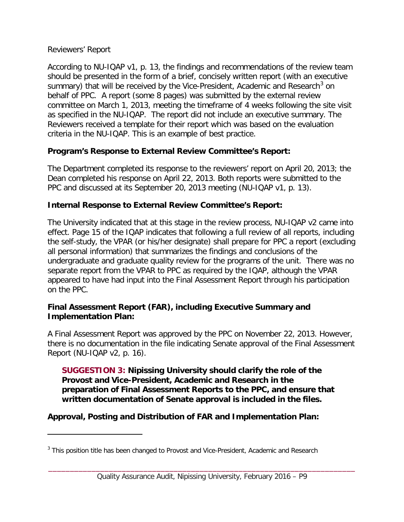#### Reviewers' Report

 $\overline{a}$ 

According to NU-IQAP v1, p. 13, the findings and recommendations of the review team should be presented in the form of a brief, concisely written report (with an executive summary) that will be received by the Vice-President, Academic and Research<sup>[3](#page-11-0)</sup> on behalf of PPC. A report (some 8 pages) was submitted by the external review committee on March 1, 2013, meeting the timeframe of 4 weeks following the site visit as specified in the NU-IQAP. The report did not include an executive summary. The Reviewers received a template for their report which was based on the evaluation criteria in the NU-IQAP. This is an example of best practice.

## **Program's Response to External Review Committee's Report:**

The Department completed its response to the reviewers' report on April 20, 2013; the Dean completed his response on April 22, 2013. Both reports were submitted to the PPC and discussed at its September 20, 2013 meeting (NU-IQAP v1, p. 13).

## **Internal Response to External Review Committee's Report:**

The University indicated that at this stage in the review process, NU-IQAP v2 came into effect. Page 15 of the IQAP indicates that following a full review of all reports, including the self-study, the VPAR (or his/her designate) shall prepare for PPC a report (excluding all personal information) that summarizes the findings and conclusions of the undergraduate and graduate quality review for the programs of the unit. There was no separate report from the VPAR to PPC as required by the IQAP, although the VPAR appeared to have had input into the Final Assessment Report through his participation on the PPC.

#### **Final Assessment Report (FAR), including Executive Summary and Implementation Plan:**

A Final Assessment Report was approved by the PPC on November 22, 2013. However, there is no documentation in the file indicating Senate approval of the Final Assessment Report (NU-IQAP v2, p. 16).

**SUGGESTION 3: Nipissing University should clarify the role of the Provost and Vice-President, Academic and Research in the preparation of Final Assessment Reports to the PPC, and ensure that written documentation of Senate approval is included in the files.**

**Approval, Posting and Distribution of FAR and Implementation Plan:**

<span id="page-11-0"></span><sup>&</sup>lt;sup>3</sup> This position title has been changed to Provost and Vice-President, Academic and Research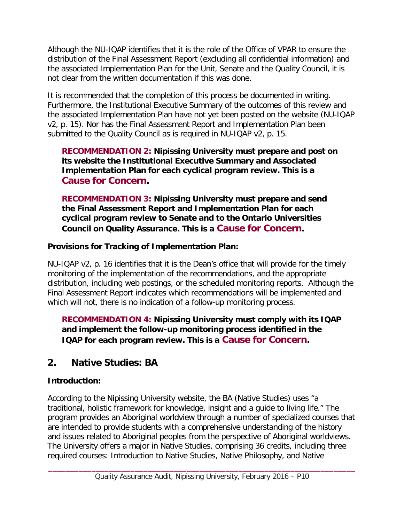Although the NU-IQAP identifies that it is the role of the Office of VPAR to ensure the distribution of the Final Assessment Report (excluding all confidential information) and the associated Implementation Plan for the Unit, Senate and the Quality Council, it is not clear from the written documentation if this was done.

It is recommended that the completion of this process be documented in writing. Furthermore, the Institutional Executive Summary of the outcomes of this review and the associated Implementation Plan have not yet been posted on the website (NU-IQAP v2, p. 15). Nor has the Final Assessment Report and Implementation Plan been submitted to the Quality Council as is required in NU-IQAP v2, p. 15.

#### <span id="page-12-3"></span>**RECOMMENDATION 2: Nipissing University must prepare and post on its website the Institutional Executive Summary and Associated Implementation Plan for each cyclical program review. This is a Cause for Concern.**

<span id="page-12-1"></span>**RECOMMENDATION 3: Nipissing University must prepare and send the Final Assessment Report and Implementation Plan for each cyclical program review to Senate and to the Ontario Universities Council on Quality Assurance. This is a Cause for Concern.**

## **Provisions for Tracking of Implementation Plan:**

NU-IQAP v2, p. 16 identifies that it is the Dean's office that will provide for the timely monitoring of the implementation of the recommendations, and the appropriate distribution, including web postings, or the scheduled monitoring reports. Although the Final Assessment Report indicates which recommendations will be implemented and which will not, there is no indication of a follow-up monitoring process.

<span id="page-12-2"></span>**RECOMMENDATION 4: Nipissing University must comply with its IQAP and implement the follow-up monitoring process identified in the IQAP for each program review. This is a Cause for Concern.**

# <span id="page-12-0"></span>**2. Native Studies: BA**

# **Introduction:**

According to the Nipissing University website, the BA (Native Studies) uses "a traditional, holistic framework for knowledge, insight and a guide to living life." The program provides an Aboriginal worldview through a number of specialized courses that are intended to provide students with a comprehensive understanding of the history and issues related to Aboriginal peoples from the perspective of Aboriginal worldviews. The University offers a major in Native Studies, comprising 36 credits, including three required courses: Introduction to Native Studies, Native Philosophy, and Native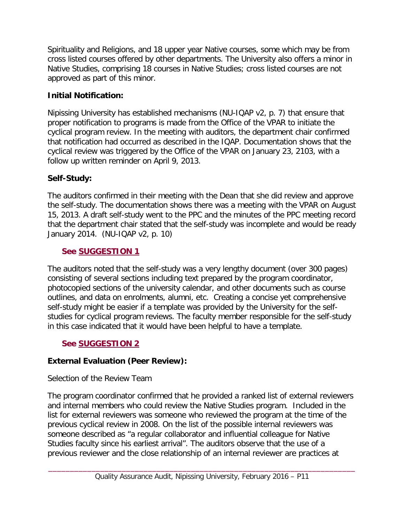Spirituality and Religions, and 18 upper year Native courses, some which may be from cross listed courses offered by other departments. The University also offers a minor in Native Studies, comprising 18 courses in Native Studies; cross listed courses are not approved as part of this minor.

# **Initial Notification:**

Nipissing University has established mechanisms (NU-IQAP v2, p. 7) that ensure that proper notification to programs is made from the Office of the VPAR to initiate the cyclical program review. In the meeting with auditors, the department chair confirmed that notification had occurred as described in the IQAP. Documentation shows that the cyclical review was triggered by the Office of the VPAR on January 23, 2103, with a follow up written reminder on April 9, 2013.

# **Self-Study:**

The auditors confirmed in their meeting with the Dean that she did review and approve the self-study. The documentation shows there was a meeting with the VPAR on August 15, 2013. A draft self-study went to the PPC and the minutes of the PPC meeting record that the department chair stated that the self-study was incomplete and would be ready January 2014. (NU-IQAP v2, p. 10)

# **See [SUGGESTION](#page-8-1) 1**

The auditors noted that the self-study was a very lengthy document (over 300 pages) consisting of several sections including text prepared by the program coordinator, photocopied sections of the university calendar, and other documents such as course outlines, and data on enrolments, alumni, etc. Creating a concise yet comprehensive self-study might be easier if a template was provided by the University for the selfstudies for cyclical program reviews. The faculty member responsible for the self-study in this case indicated that it would have been helpful to have a template.

# **See [SUGGESTION](#page-9-0) 2**

# **External Evaluation (Peer Review):**

# Selection of the Review Team

The program coordinator confirmed that he provided a ranked list of external reviewers and internal members who could review the Native Studies program. Included in the list for external reviewers was someone who reviewed the program at the time of the previous cyclical review in 2008. On the list of the possible internal reviewers was someone described as "a regular collaborator and influential colleague for Native Studies faculty since his earliest arrival". The auditors observe that the use of a previous reviewer and the close relationship of an internal reviewer are practices at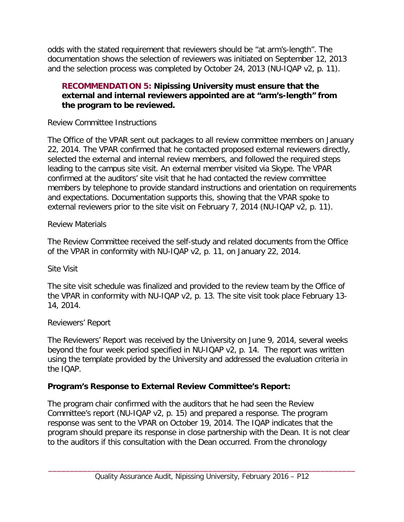odds with the stated requirement that reviewers should be "at arm's-length". The documentation shows the selection of reviewers was initiated on September 12, 2013 and the selection process was completed by October 24, 2013 (NU-IQAP v2, p. 11).

#### **RECOMMENDATION 5: Nipissing University must ensure that the external and internal reviewers appointed are at "arm's-length" from the program to be reviewed.**

#### Review Committee Instructions

The Office of the VPAR sent out packages to all review committee members on January 22, 2014. The VPAR confirmed that he contacted proposed external reviewers directly, selected the external and internal review members, and followed the required steps leading to the campus site visit. An external member visited via Skype. The VPAR confirmed at the auditors' site visit that he had contacted the review committee members by telephone to provide standard instructions and orientation on requirements and expectations. Documentation supports this, showing that the VPAR spoke to external reviewers prior to the site visit on February 7, 2014 (NU-IQAP v2, p. 11).

#### Review Materials

The Review Committee received the self-study and related documents from the Office of the VPAR in conformity with NU-IQAP v2, p. 11, on January 22, 2014.

#### Site Visit

The site visit schedule was finalized and provided to the review team by the Office of the VPAR in conformity with NU-IQAP v2, p. 13. The site visit took place February 13- 14, 2014.

## Reviewers' Report

The Reviewers' Report was received by the University on June 9, 2014, several weeks beyond the four week period specified in NU-IQAP v2, p. 14. The report was written using the template provided by the University and addressed the evaluation criteria in the IQAP.

## **Program's Response to External Review Committee's Report:**

The program chair confirmed with the auditors that he had seen the Review Committee's report (NU-IQAP v2, p. 15) and prepared a response. The program response was sent to the VPAR on October 19, 2014. The IQAP indicates that the program should prepare its response in close partnership with the Dean. It is not clear to the auditors if this consultation with the Dean occurred. From the chronology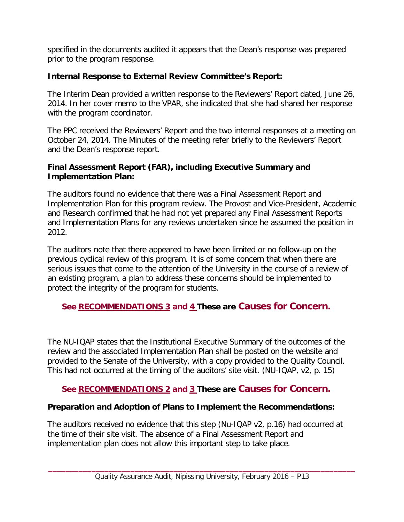specified in the documents audited it appears that the Dean's response was prepared prior to the program response.

#### **Internal Response to External Review Committee's Report:**

The Interim Dean provided a written response to the Reviewers' Report dated, June 26, 2014. In her cover memo to the VPAR, she indicated that she had shared her response with the program coordinator.

The PPC received the Reviewers' Report and the two internal responses at a meeting on October 24, 2014. The Minutes of the meeting refer briefly to the Reviewers' Report and the Dean's response report.

#### **Final Assessment Report (FAR), including Executive Summary and Implementation Plan:**

The auditors found no evidence that there was a Final Assessment Report and Implementation Plan for this program review. The Provost and Vice-President, Academic and Research confirmed that he had not yet prepared any Final Assessment Reports and Implementation Plans for any reviews undertaken since he assumed the position in 2012.

The auditors note that there appeared to have been limited or no follow-up on the previous cyclical review of this program. It is of some concern that when there are serious issues that come to the attention of the University in the course of a review of an existing program, a plan to address these concerns should be implemented to protect the integrity of the program for students.

## **See [RECOMMENDATIONS 3](#page-12-1) and [4](#page-12-2) These are Causes for Concern.**

The NU-IQAP states that the Institutional Executive Summary of the outcomes of the review and the associated Implementation Plan shall be posted on the website and provided to the Senate of the University, with a copy provided to the Quality Council. This had not occurred at the timing of the auditors' site visit. (NU-IQAP, v2, p. 15)

## **See [RECOMMENDATIONS](#page-12-3) 2 and [3](#page-12-1) These are Causes for Concern.**

## **Preparation and Adoption of Plans to Implement the Recommendations:**

The auditors received no evidence that this step (Nu-IQAP v2, p.16) had occurred at the time of their site visit. The absence of a Final Assessment Report and implementation plan does not allow this important step to take place.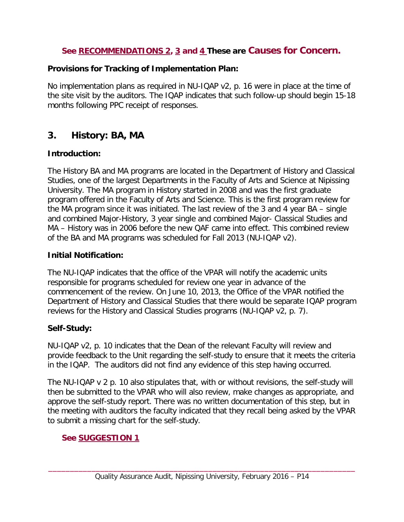## **See [RECOMMENDATIONS](#page-12-3) 2, [3](#page-12-1) and [4](#page-12-2) These are Causes for Concern.**

## **Provisions for Tracking of Implementation Plan:**

No implementation plans as required in NU-IQAP v2, p. 16 were in place at the time of the site visit by the auditors. The IQAP indicates that such follow-up should begin 15-18 months following PPC receipt of responses.

# <span id="page-16-0"></span>**3. History: BA, MA**

## **Introduction:**

The History BA and MA programs are located in the Department of History and Classical Studies, one of the largest Departments in the Faculty of Arts and Science at Nipissing University. The MA program in History started in 2008 and was the first graduate program offered in the Faculty of Arts and Science. This is the first program review for the MA program since it was initiated. The last review of the 3 and 4 year BA – single and combined Major-History, 3 year single and combined Major- Classical Studies and MA – History was in 2006 before the new QAF came into effect. This combined review of the BA and MA programs was scheduled for Fall 2013 (NU-IQAP v2).

## **Initial Notification:**

The NU-IQAP indicates that the office of the VPAR will notify the academic units responsible for programs scheduled for review one year in advance of the commencement of the review. On June 10, 2013, the Office of the VPAR notified the Department of History and Classical Studies that there would be separate IQAP program reviews for the History and Classical Studies programs (NU-IQAP v2, p. 7).

## **Self-Study:**

NU-IQAP v2, p. 10 indicates that the Dean of the relevant Faculty will review and provide feedback to the Unit regarding the self-study to ensure that it meets the criteria in the IQAP. The auditors did not find any evidence of this step having occurred.

The NU-IQAP v 2 p. 10 also stipulates that, with or without revisions, the self-study will then be submitted to the VPAR who will also review, make changes as appropriate, and approve the self-study report. There was no written documentation of this step, but in the meeting with auditors the faculty indicated that they recall being asked by the VPAR to submit a missing chart for the self-study.

# **See [SUGGESTION](#page-8-1) 1**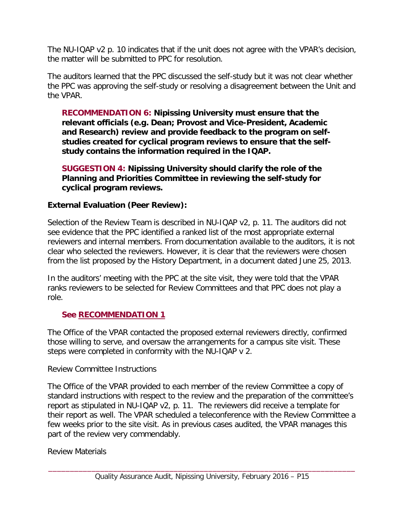The NU-IQAP v2 p. 10 indicates that if the unit does not agree with the VPAR's decision, the matter will be submitted to PPC for resolution.

The auditors learned that the PPC discussed the self-study but it was not clear whether the PPC was approving the self-study or resolving a disagreement between the Unit and the VPAR.

**RECOMMENDATION 6: Nipissing University must ensure that the relevant officials (e.g. Dean; Provost and Vice-President, Academic and Research) review and provide feedback to the program on selfstudies created for cyclical program reviews to ensure that the selfstudy contains the information required in the IQAP.**

**SUGGESTION 4: Nipissing University should clarify the role of the Planning and Priorities Committee in reviewing the self-study for cyclical program reviews.**

#### **External Evaluation (Peer Review):**

Selection of the Review Team is described in NU-IQAP v2, p. 11. The auditors did not see evidence that the PPC identified a ranked list of the most appropriate external reviewers and internal members. From documentation available to the auditors, it is not clear who selected the reviewers. However, it is clear that the reviewers were chosen from the list proposed by the History Department, in a document dated June 25, 2013.

In the auditors' meeting with the PPC at the site visit, they were told that the VPAR ranks reviewers to be selected for Review Committees and that PPC does not play a role.

## **See [RECOMMENDATION](#page-10-0) 1**

The Office of the VPAR contacted the proposed external reviewers directly, confirmed those willing to serve, and oversaw the arrangements for a campus site visit. These steps were completed in conformity with the NU-IQAP v 2.

#### Review Committee Instructions

The Office of the VPAR provided to each member of the review Committee a copy of standard instructions with respect to the review and the preparation of the committee's report as stipulated in NU-IQAP v2, p. 11. The reviewers did receive a template for their report as well. The VPAR scheduled a teleconference with the Review Committee a few weeks prior to the site visit. As in previous cases audited, the VPAR manages this part of the review very commendably.

#### Review Materials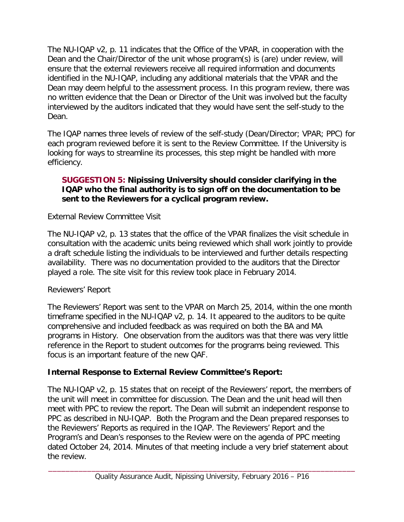The NU-IQAP v2, p. 11 indicates that the Office of the VPAR, in cooperation with the Dean and the Chair/Director of the unit whose program(s) is (are) under review, will ensure that the external reviewers receive all required information and documents identified in the NU-IQAP, including any additional materials that the VPAR and the Dean may deem helpful to the assessment process. In this program review, there was no written evidence that the Dean or Director of the Unit was involved but the faculty interviewed by the auditors indicated that they would have sent the self-study to the Dean.

The IQAP names three levels of review of the self-study (Dean/Director; VPAR; PPC) for each program reviewed before it is sent to the Review Committee. If the University is looking for ways to streamline its processes, this step might be handled with more efficiency.

#### **SUGGESTION 5: Nipissing University should consider clarifying in the IQAP who the final authority is to sign off on the documentation to be sent to the Reviewers for a cyclical program review.**

External Review Committee Visit

The NU-IQAP v2, p. 13 states that the office of the VPAR finalizes the visit schedule in consultation with the academic units being reviewed which shall work jointly to provide a draft schedule listing the individuals to be interviewed and further details respecting availability. There was no documentation provided to the auditors that the Director played a role. The site visit for this review took place in February 2014.

## Reviewers' Report

The Reviewers' Report was sent to the VPAR on March 25, 2014, within the one month timeframe specified in the NU-IQAP v2, p. 14. It appeared to the auditors to be quite comprehensive and included feedback as was required on both the BA and MA programs in History. One observation from the auditors was that there was very little reference in the Report to student outcomes for the programs being reviewed. This focus is an important feature of the new QAF.

## **Internal Response to External Review Committee's Report:**

The NU-IQAP v2, p. 15 states that on receipt of the Reviewers' report, the members of the unit will meet in committee for discussion. The Dean and the unit head will then meet with PPC to review the report. The Dean will submit an independent response to PPC as described in NU-IQAP. Both the Program and the Dean prepared responses to the Reviewers' Reports as required in the IQAP. The Reviewers' Report and the Program's and Dean's responses to the Review were on the agenda of PPC meeting dated October 24, 2014. Minutes of that meeting include a very brief statement about the review.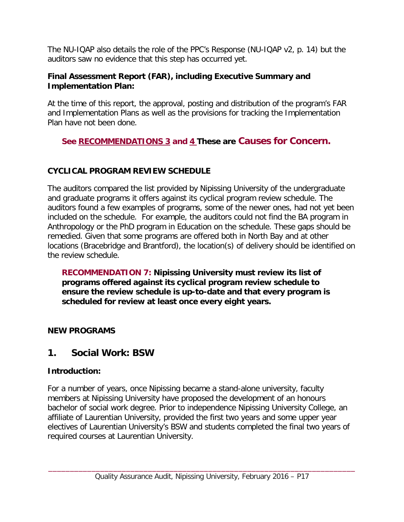The NU-IQAP also details the role of the PPC's Response (NU-IQAP v2, p. 14) but the auditors saw no evidence that this step has occurred yet.

#### **Final Assessment Report (FAR), including Executive Summary and Implementation Plan:**

At the time of this report, the approval, posting and distribution of the program's FAR and Implementation Plans as well as the provisions for tracking the Implementation Plan have not been done.

# **See [RECOMMENDATIONS 3](#page-12-1) and [4](#page-12-2) These are Causes for Concern.**

# <span id="page-19-0"></span>**CYCLICAL PROGRAM REVIEW SCHEDULE**

The auditors compared the list provided by Nipissing University of the undergraduate and graduate programs it offers against its cyclical program review schedule. The auditors found a few examples of programs, some of the newer ones, had not yet been included on the schedule. For example, the auditors could not find the BA program in Anthropology or the PhD program in Education on the schedule. These gaps should be remedied. Given that some programs are offered both in North Bay and at other locations (Bracebridge and Brantford), the location(s) of delivery should be identified on the review schedule.

**RECOMMENDATION 7: Nipissing University must review its list of programs offered against its cyclical program review schedule to ensure the review schedule is up-to-date and that every program is scheduled for review at least once every eight years.**

## <span id="page-19-1"></span>**NEW PROGRAMS**

# <span id="page-19-2"></span>**1. Social Work: BSW**

## **Introduction:**

For a number of years, once Nipissing became a stand-alone university, faculty members at Nipissing University have proposed the development of an honours bachelor of social work degree. Prior to independence Nipissing University College, an affiliate of Laurentian University, provided the first two years and some upper year electives of Laurentian University's BSW and students completed the final two years of required courses at Laurentian University.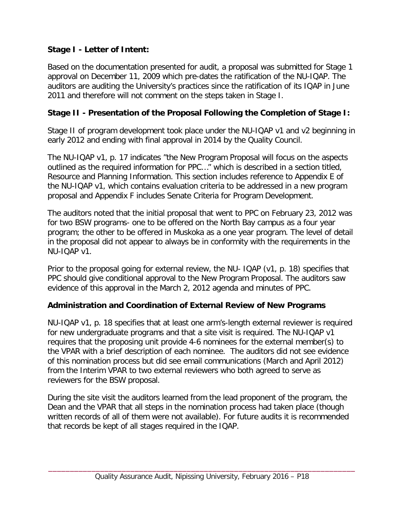# **Stage I - Letter of Intent:**

Based on the documentation presented for audit, a proposal was submitted for Stage 1 approval on December 11, 2009 which pre-dates the ratification of the NU-IQAP. The auditors are auditing the University's practices since the ratification of its IQAP in June 2011 and therefore will not comment on the steps taken in Stage I.

## **Stage II - Presentation of the Proposal Following the Completion of Stage I:**

Stage II of program development took place under the NU-IQAP v1 and v2 beginning in early 2012 and ending with final approval in 2014 by the Quality Council.

The NU-IQAP v1, p. 17 indicates "the New Program Proposal will focus on the aspects outlined as the required information for PPC…" which is described in a section titled, Resource and Planning Information. This section includes reference to Appendix E of the NU-IQAP v1, which contains evaluation criteria to be addressed in a new program proposal and Appendix F includes Senate Criteria for Program Development.

The auditors noted that the initial proposal that went to PPC on February 23, 2012 was for two BSW programs- one to be offered on the North Bay campus as a four year program; the other to be offered in Muskoka as a one year program. The level of detail in the proposal did not appear to always be in conformity with the requirements in the NU-IQAP v1.

Prior to the proposal going for external review, the NU- IQAP (v1, p. 18) specifies that PPC should give conditional approval to the New Program Proposal. The auditors saw evidence of this approval in the March 2, 2012 agenda and minutes of PPC.

## **Administration and Coordination of External Review of New Programs**

NU-IQAP v1, p. 18 specifies that at least one arm's-length external reviewer is required for new undergraduate programs and that a site visit is required. The NU-IQAP v1 requires that the proposing unit provide 4-6 nominees for the external member(s) to the VPAR with a brief description of each nominee. The auditors did not see evidence of this nomination process but did see email communications (March and April 2012) from the Interim VPAR to two external reviewers who both agreed to serve as reviewers for the BSW proposal.

During the site visit the auditors learned from the lead proponent of the program, the Dean and the VPAR that all steps in the nomination process had taken place (though written records of all of them were not available). For future audits it is recommended that records be kept of all stages required in the IQAP.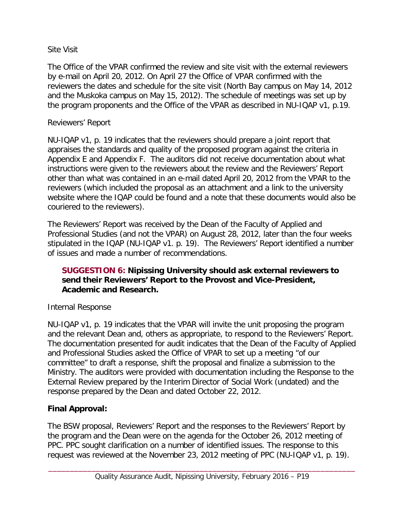#### Site Visit

The Office of the VPAR confirmed the review and site visit with the external reviewers by e-mail on April 20, 2012. On April 27 the Office of VPAR confirmed with the reviewers the dates and schedule for the site visit (North Bay campus on May 14, 2012 and the Muskoka campus on May 15, 2012). The schedule of meetings was set up by the program proponents and the Office of the VPAR as described in NU-IQAP v1, p.19.

#### Reviewers' Report

NU-IQAP v1, p. 19 indicates that the reviewers should prepare a joint report that appraises the standards and quality of the proposed program against the criteria in Appendix E and Appendix F. The auditors did not receive documentation about what instructions were given to the reviewers about the review and the Reviewers' Report other than what was contained in an e-mail dated April 20, 2012 from the VPAR to the reviewers (which included the proposal as an attachment and a link to the university website where the IQAP could be found and a note that these documents would also be couriered to the reviewers).

The Reviewers' Report was received by the Dean of the Faculty of Applied and Professional Studies (and not the VPAR) on August 28, 2012, later than the four weeks stipulated in the IQAP (NU-IQAP v1. p. 19). The Reviewers' Report identified a number of issues and made a number of recommendations.

#### **SUGGESTION 6: Nipissing University should ask external reviewers to send their Reviewers' Report to the Provost and Vice-President, Academic and Research.**

## Internal Response

NU-IQAP v1, p. 19 indicates that the VPAR will invite the unit proposing the program and the relevant Dean and, others as appropriate, to respond to the Reviewers' Report. The documentation presented for audit indicates that the Dean of the Faculty of Applied and Professional Studies asked the Office of VPAR to set up a meeting "of our committee" to draft a response, shift the proposal and finalize a submission to the Ministry. The auditors were provided with documentation including the Response to the External Review prepared by the Interim Director of Social Work (undated) and the response prepared by the Dean and dated October 22, 2012.

## **Final Approval:**

The BSW proposal, Reviewers' Report and the responses to the Reviewers' Report by the program and the Dean were on the agenda for the October 26, 2012 meeting of PPC. PPC sought clarification on a number of identified issues. The response to this request was reviewed at the November 23, 2012 meeting of PPC (NU-IQAP v1, p. 19).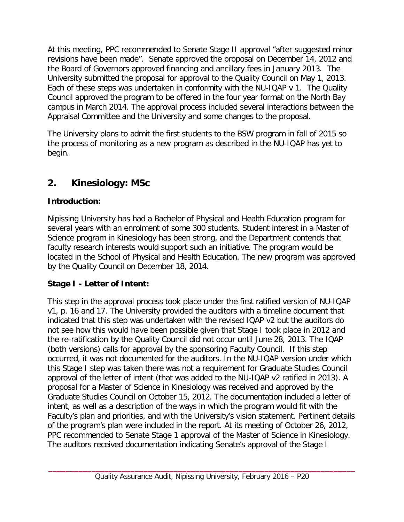At this meeting, PPC recommended to Senate Stage II approval "after suggested minor revisions have been made". Senate approved the proposal on December 14, 2012 and the Board of Governors approved financing and ancillary fees in January 2013. The University submitted the proposal for approval to the Quality Council on May 1, 2013. Each of these steps was undertaken in conformity with the NU-IQAP v 1. The Quality Council approved the program to be offered in the four year format on the North Bay campus in March 2014. The approval process included several interactions between the Appraisal Committee and the University and some changes to the proposal.

The University plans to admit the first students to the BSW program in fall of 2015 so the process of monitoring as a new program as described in the NU-IQAP has yet to begin.

# <span id="page-22-0"></span>**2. Kinesiology: MSc**

# **Introduction:**

Nipissing University has had a Bachelor of Physical and Health Education program for several years with an enrolment of some 300 students. Student interest in a Master of Science program in Kinesiology has been strong, and the Department contends that faculty research interests would support such an initiative. The program would be located in the School of Physical and Health Education. The new program was approved by the Quality Council on December 18, 2014.

# **Stage I - Letter of Intent:**

This step in the approval process took place under the first ratified version of NU-IQAP v1, p. 16 and 17. The University provided the auditors with a timeline document that indicated that this step was undertaken with the revised IQAP v2 but the auditors do not see how this would have been possible given that Stage I took place in 2012 and the re-ratification by the Quality Council did not occur until June 28, 2013. The IQAP (both versions) calls for approval by the sponsoring Faculty Council. If this step occurred, it was not documented for the auditors. In the NU-IQAP version under which this Stage I step was taken there was not a requirement for Graduate Studies Council approval of the letter of intent (that was added to the NU-IQAP v2 ratified in 2013). A proposal for a Master of Science in Kinesiology was received and approved by the Graduate Studies Council on October 15, 2012. The documentation included a letter of intent, as well as a description of the ways in which the program would fit with the Faculty's plan and priorities, and with the University's vision statement. Pertinent details of the program's plan were included in the report. At its meeting of October 26, 2012, PPC recommended to Senate Stage 1 approval of the Master of Science in Kinesiology. The auditors received documentation indicating Senate's approval of the Stage I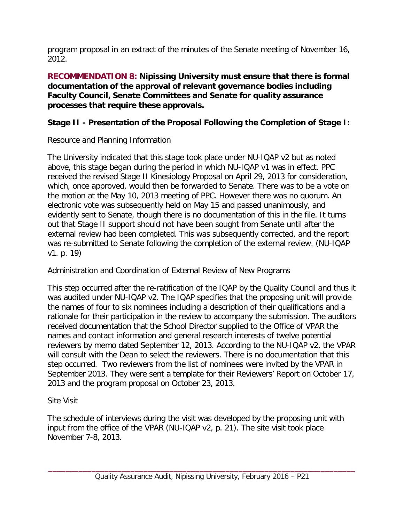<span id="page-23-0"></span>program proposal in an extract of the minutes of the Senate meeting of November 16, 2012.

**RECOMMENDATION 8: Nipissing University must ensure that there is formal documentation of the approval of relevant governance bodies including Faculty Council, Senate Committees and Senate for quality assurance processes that require these approvals.**

## **Stage II - Presentation of the Proposal Following the Completion of Stage I:**

Resource and Planning Information

The University indicated that this stage took place under NU-IQAP v2 but as noted above, this stage began during the period in which NU-IQAP v1 was in effect. PPC received the revised Stage II Kinesiology Proposal on April 29, 2013 for consideration, which, once approved, would then be forwarded to Senate. There was to be a vote on the motion at the May 10, 2013 meeting of PPC. However there was no quorum. An electronic vote was subsequently held on May 15 and passed unanimously, and evidently sent to Senate, though there is no documentation of this in the file. It turns out that Stage II support should not have been sought from Senate until after the external review had been completed. This was subsequently corrected, and the report was re-submitted to Senate following the completion of the external review. (NU-IQAP v1. p. 19)

Administration and Coordination of External Review of New Programs

This step occurred after the re-ratification of the IQAP by the Quality Council and thus it was audited under NU-IQAP v2. The IQAP specifies that the proposing unit will provide the names of four to six nominees including a description of their qualifications and a rationale for their participation in the review to accompany the submission. The auditors received documentation that the School Director supplied to the Office of VPAR the names and contact information and general research interests of twelve potential reviewers by memo dated September 12, 2013. According to the NU-IQAP v2, the VPAR will consult with the Dean to select the reviewers. There is no documentation that this step occurred. Two reviewers from the list of nominees were invited by the VPAR in September 2013. They were sent a template for their Reviewers' Report on October 17, 2013 and the program proposal on October 23, 2013.

## Site Visit

The schedule of interviews during the visit was developed by the proposing unit with input from the office of the VPAR (NU-IQAP v2, p. 21). The site visit took place November 7-8, 2013.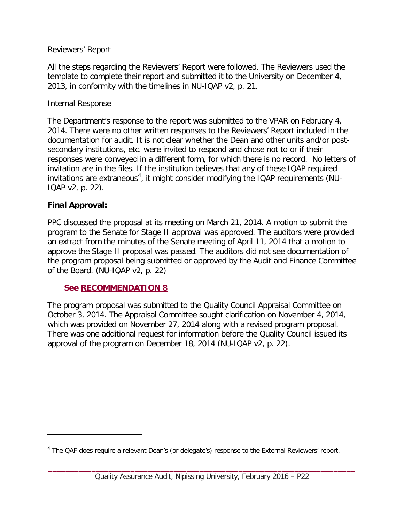#### Reviewers' Report

All the steps regarding the Reviewers' Report were followed. The Reviewers used the template to complete their report and submitted it to the University on December 4, 2013, in conformity with the timelines in NU-IQAP v2, p. 21.

#### Internal Response

The Department's response to the report was submitted to the VPAR on February 4, 2014. There were no other written responses to the Reviewers' Report included in the documentation for audit. It is not clear whether the Dean and other units and/or postsecondary institutions, etc. were invited to respond and chose not to or if their responses were conveyed in a different form, for which there is no record. No letters of invitation are in the files. If the institution believes that any of these IQAP required invitations are extraneous<sup>[4](#page-24-1)</sup>, it might consider modifying the IQAP requirements (NU-IQAP v2, p. 22).

#### **Final Approval:**

 $\overline{a}$ 

PPC discussed the proposal at its meeting on March 21, 2014. A motion to submit the program to the Senate for Stage II approval was approved. The auditors were provided an extract from the minutes of the Senate meeting of April 11, 2014 that a motion to approve the Stage II proposal was passed. The auditors did not see documentation of the program proposal being submitted or approved by the Audit and Finance Committee of the Board. (NU-IQAP v2, p. 22)

#### <span id="page-24-0"></span>**See [RECOMMENDATION](#page-23-0) 8**

The program proposal was submitted to the Quality Council Appraisal Committee on October 3, 2014. The Appraisal Committee sought clarification on November 4, 2014, which was provided on November 27, 2014 along with a revised program proposal. There was one additional request for information before the Quality Council issued its approval of the program on December 18, 2014 (NU-IQAP v2, p. 22).

<span id="page-24-1"></span><sup>&</sup>lt;sup>4</sup> The QAF does require a relevant Dean's (or delegate's) response to the External Reviewers' report.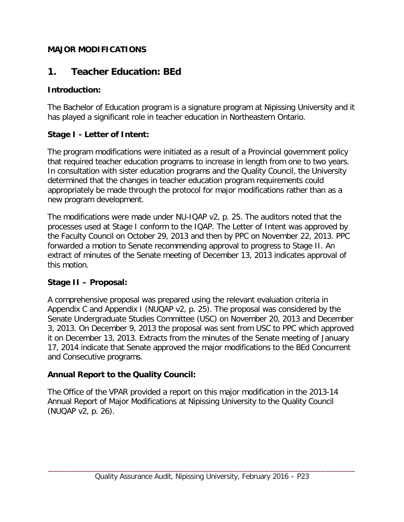#### **MAJOR MODIFICATIONS**

# <span id="page-25-0"></span>**1. Teacher Education: BEd**

#### **Introduction:**

The Bachelor of Education program is a signature program at Nipissing University and it has played a significant role in teacher education in Northeastern Ontario.

## **Stage I - Letter of Intent:**

The program modifications were initiated as a result of a Provincial government policy that required teacher education programs to increase in length from one to two years. In consultation with sister education programs and the Quality Council, the University determined that the changes in teacher education program requirements could appropriately be made through the protocol for major modifications rather than as a new program development.

The modifications were made under NU-IQAP v2, p. 25. The auditors noted that the processes used at Stage I conform to the IQAP. The Letter of Intent was approved by the Faculty Council on October 29, 2013 and then by PPC on November 22, 2013. PPC forwarded a motion to Senate recommending approval to progress to Stage II. An extract of minutes of the Senate meeting of December 13, 2013 indicates approval of this motion.

## **Stage II – Proposal:**

A comprehensive proposal was prepared using the relevant evaluation criteria in Appendix C and Appendix I (NUQAP v2, p. 25). The proposal was considered by the Senate Undergraduate Studies Committee (USC) on November 20, 2013 and December 3, 2013. On December 9, 2013 the proposal was sent from USC to PPC which approved it on December 13, 2013. Extracts from the minutes of the Senate meeting of January 17, 2014 indicate that Senate approved the major modifications to the BEd Concurrent and Consecutive programs.

## **Annual Report to the Quality Council:**

The Office of the VPAR provided a report on this major modification in the 2013-14 Annual Report of Major Modifications at Nipissing University to the Quality Council (NUQAP v2, p. 26).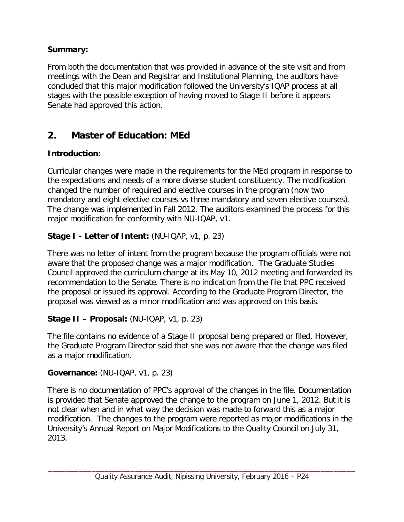## **Summary:**

From both the documentation that was provided in advance of the site visit and from meetings with the Dean and Registrar and Institutional Planning, the auditors have concluded that this major modification followed the University's IQAP process at all stages with the possible exception of having moved to Stage II before it appears Senate had approved this action.

# <span id="page-26-0"></span>**2. Master of Education: MEd**

# **Introduction:**

Curricular changes were made in the requirements for the MEd program in response to the expectations and needs of a more diverse student constituency. The modification changed the number of required and elective courses in the program (now two mandatory and eight elective courses vs three mandatory and seven elective courses). The change was implemented in Fall 2012. The auditors examined the process for this major modification for conformity with NU-IQAP, v1.

# **Stage I - Letter of Intent:** (NU-IQAP, v1, p. 23)

There was no letter of intent from the program because the program officials were not aware that the proposed change was a major modification. The Graduate Studies Council approved the curriculum change at its May 10, 2012 meeting and forwarded its recommendation to the Senate. There is no indication from the file that PPC received the proposal or issued its approval. According to the Graduate Program Director, the proposal was viewed as a minor modification and was approved on this basis.

# **Stage II – Proposal:** (NU-IQAP, v1, p. 23)

The file contains no evidence of a Stage II proposal being prepared or filed. However, the Graduate Program Director said that she was not aware that the change was filed as a major modification.

# **Governance:** (NU-IQAP, v1, p. 23)

There is no documentation of PPC's approval of the changes in the file. Documentation is provided that Senate approved the change to the program on June 1, 2012. But it is not clear when and in what way the decision was made to forward this as a major modification. The changes to the program were reported as major modifications in the University's Annual Report on Major Modifications to the Quality Council on July 31, 2013.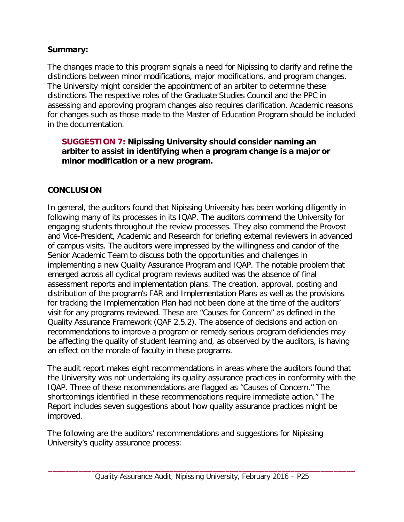## **Summary:**

The changes made to this program signals a need for Nipissing to clarify and refine the distinctions between minor modifications, major modifications, and program changes. The University might consider the appointment of an arbiter to determine these distinctions The respective roles of the Graduate Studies Council and the PPC in assessing and approving program changes also requires clarification. Academic reasons for changes such as those made to the Master of Education Program should be included in the documentation.

#### **SUGGESTION 7: Nipissing University should consider naming an arbiter to assist in identifying when a program change is a major or minor modification or a new program.**

## <span id="page-27-0"></span>**CONCLUSION**

In general, the auditors found that Nipissing University has been working diligently in following many of its processes in its IQAP. The auditors commend the University for engaging students throughout the review processes. They also commend the Provost and Vice-President, Academic and Research for briefing external reviewers in advanced of campus visits. The auditors were impressed by the willingness and candor of the Senior Academic Team to discuss both the opportunities and challenges in implementing a new Quality Assurance Program and IQAP. The notable problem that emerged across all cyclical program reviews audited was the absence of final assessment reports and implementation plans. The creation, approval, posting and distribution of the program's FAR and Implementation Plans as well as the provisions for tracking the Implementation Plan had not been done at the time of the auditors' visit for any programs reviewed. These are "Causes for Concern" as defined in the Quality Assurance Framework (QAF 2.5.2). The absence of decisions and action on recommendations to improve a program or remedy serious program deficiencies may be affecting the quality of student learning and, as observed by the auditors, is having an effect on the morale of faculty in these programs.

The audit report makes eight recommendations in areas where the auditors found that the University was not undertaking its quality assurance practices in conformity with the IQAP. Three of these recommendations are flagged as "Causes of Concern." The shortcomings identified in these recommendations require immediate action." The Report includes seven suggestions about how quality assurance practices might be improved.

The following are the auditors' recommendations and suggestions for Nipissing University's quality assurance process: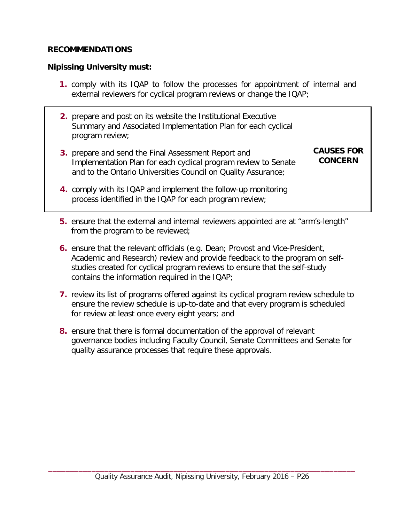#### <span id="page-28-0"></span>**RECOMMENDATIONS**

#### **Nipissing University must:**

- **1.** comply with its IQAP to follow the processes for appointment of internal and external reviewers for cyclical program reviews or change the IQAP;
- **2.** prepare and post on its website the Institutional Executive Summary and Associated Implementation Plan for each cyclical program review;
- **3.** prepare and send the Final Assessment Report and Implementation Plan for each cyclical program review to Senate and to the Ontario Universities Council on Quality Assurance;

#### **CAUSES FOR CONCERN**

- **4.** comply with its IQAP and implement the follow-up monitoring process identified in the IQAP for each program review;
- **5.** ensure that the external and internal reviewers appointed are at "arm's-length" from the program to be reviewed;
- **6.** ensure that the relevant officials (e.g. Dean; Provost and Vice-President, Academic and Research) review and provide feedback to the program on selfstudies created for cyclical program reviews to ensure that the self-study contains the information required in the IQAP;
- **7.** review its list of programs offered against its cyclical program review schedule to ensure the review schedule is up-to-date and that every program is scheduled for review at least once every eight years; and
- **8.** ensure that there is formal documentation of the approval of relevant governance bodies including Faculty Council, Senate Committees and Senate for quality assurance processes that require these approvals.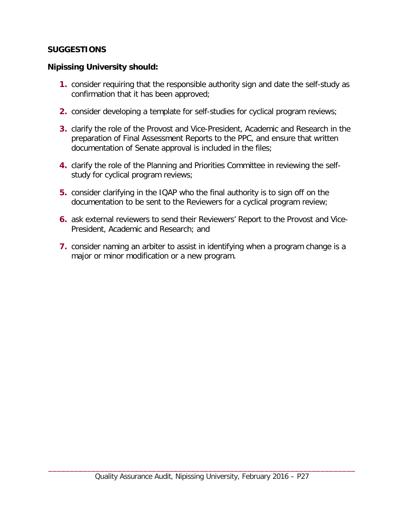#### <span id="page-29-0"></span>**SUGGESTIONS**

#### **Nipissing University should:**

- **1.** consider requiring that the responsible authority sign and date the self-study as confirmation that it has been approved;
- **2.** consider developing a template for self-studies for cyclical program reviews;
- **3.** clarify the role of the Provost and Vice-President, Academic and Research in the preparation of Final Assessment Reports to the PPC, and ensure that written documentation of Senate approval is included in the files;
- **4.** clarify the role of the Planning and Priorities Committee in reviewing the selfstudy for cyclical program reviews;
- **5.** consider clarifying in the IQAP who the final authority is to sign off on the documentation to be sent to the Reviewers for a cyclical program review;
- **6.** ask external reviewers to send their Reviewers' Report to the Provost and Vice-President, Academic and Research; and
- **7.** consider naming an arbiter to assist in identifying when a program change is a major or minor modification or a new program.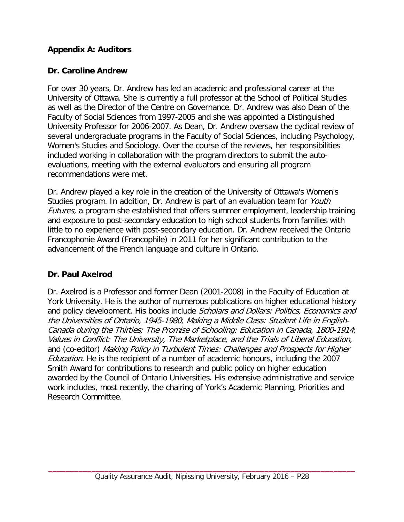## <span id="page-30-0"></span>**Appendix A: Auditors**

## **Dr. Caroline Andrew**

For over 30 years, Dr. Andrew has led an academic and professional career at the University of Ottawa. She is currently a full professor at the School of Political Studies as well as the Director of the Centre on Governance. Dr. Andrew was also Dean of the Faculty of Social Sciences from 1997-2005 and she was appointed a Distinguished University Professor for 2006-2007. As Dean, Dr. Andrew oversaw the cyclical review of several undergraduate programs in the Faculty of Social Sciences, including Psychology, Women's Studies and Sociology. Over the course of the reviews, her responsibilities included working in collaboration with the program directors to submit the autoevaluations, meeting with the external evaluators and ensuring all program recommendations were met.

Dr. Andrew played a key role in the creation of the University of Ottawa's Women's Studies program. In addition, Dr. Andrew is part of an evaluation team for Youth Futures, a program she established that offers summer employment, leadership training and exposure to post-secondary education to high school students from families with little to no experience with post-secondary education. Dr. Andrew received the Ontario Francophonie Award (Francophile) in 2011 for her significant contribution to the advancement of the French language and culture in Ontario.

# **Dr. Paul Axelrod**

Dr. Axelrod is a Professor and former Dean (2001-2008) in the Faculty of Education at York University. He is the author of numerous publications on higher educational history and policy development. His books include Scholars and Dollars: Politics, Economics and the Universities of Ontario, 1945-1980; Making a Middle Class: Student Life in English-Canada during the Thirties; The Promise of Schooling: Education in Canada, 1800-1914; Values in Conflict: The University, The Marketplace, and the Trials of Liberal Education, and (co-editor) Making Policy in Turbulent Times: Challenges and Prospects for Higher Education. He is the recipient of a number of academic honours, including the 2007 Smith Award for contributions to research and public policy on higher education awarded by the Council of Ontario Universities. His extensive administrative and service work includes, most recently, the chairing of York's Academic Planning, Priorities and Research Committee.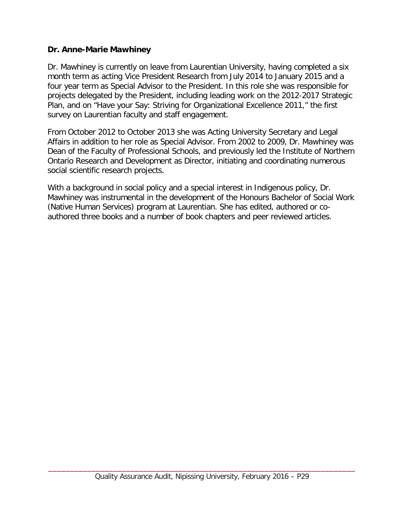#### **Dr. Anne-Marie Mawhiney**

Dr. Mawhiney is currently on leave from Laurentian University, having completed a six month term as acting Vice President Research from July 2014 to January 2015 and a four year term as Special Advisor to the President. In this role she was responsible for projects delegated by the President, including leading work on the 2012-2017 Strategic Plan, and on "Have your Say: Striving for Organizational Excellence 2011," the first survey on Laurentian faculty and staff engagement.

From October 2012 to October 2013 she was Acting University Secretary and Legal Affairs in addition to her role as Special Advisor. From 2002 to 2009, Dr. Mawhiney was Dean of the Faculty of Professional Schools, and previously led the Institute of Northern Ontario Research and Development as Director, initiating and coordinating numerous social scientific research projects.

With a background in social policy and a special interest in Indigenous policy, Dr. Mawhiney was instrumental in the development of the Honours Bachelor of Social Work (Native Human Services) program at Laurentian. She has edited, authored or coauthored three books and a number of book chapters and peer reviewed articles.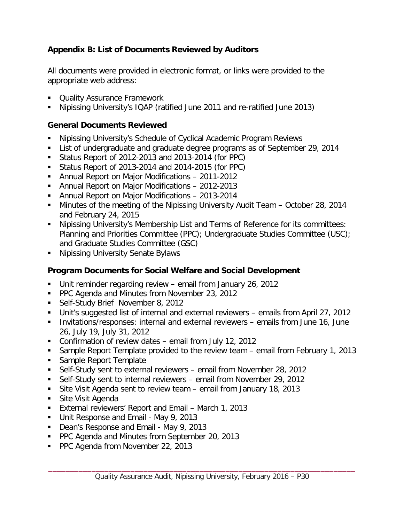## <span id="page-32-0"></span>**Appendix B: List of Documents Reviewed by Auditors**

All documents were provided in electronic format, or links were provided to the appropriate web address:

- **Duality Assurance Framework**
- Nipissing University's IQAP (ratified June 2011 and re-ratified June 2013)

#### **General Documents Reviewed**

- Nipissing University's Schedule of Cyclical Academic Program Reviews
- List of undergraduate and graduate degree programs as of September 29, 2014
- Status Report of 2012-2013 and 2013-2014 (for PPC)
- Status Report of 2013-2014 and 2014-2015 (for PPC)
- Annual Report on Major Modifications 2011-2012
- Annual Report on Major Modifications 2012-2013
- Annual Report on Major Modifications 2013-2014
- **Minutes of the meeting of the Nipissing University Audit Team October 28, 2014** and February 24, 2015
- Nipissing University's Membership List and Terms of Reference for its committees: Planning and Priorities Committee (PPC); Undergraduate Studies Committee (USC); and Graduate Studies Committee (GSC)
- **Nipissing University Senate Bylaws**

## **Program Documents for Social Welfare and Social Development**

- Unit reminder regarding review email from January 26, 2012
- PPC Agenda and Minutes from November 23, 2012
- Self-Study Brief November 8, 2012
- Unit's suggested list of internal and external reviewers emails from April 27, 2012
- **Invitations/responses: internal and external reviewers emails from June 16, June** 26, July 19, July 31, 2012
- Confirmation of review dates email from July 12, 2012
- Sample Report Template provided to the review team email from February 1, 2013
- **Sample Report Template**
- Self-Study sent to external reviewers email from November 28, 2012
- Self-Study sent to internal reviewers email from November 29, 2012
- Site Visit Agenda sent to review team email from January 18, 2013
- Site Visit Agenda
- External reviewers' Report and Email March 1, 2013
- Unit Response and Email May 9, 2013
- Dean's Response and Email May 9, 2013
- **PPC Agenda and Minutes from September 20, 2013**
- **PPC Agenda from November 22, 2013**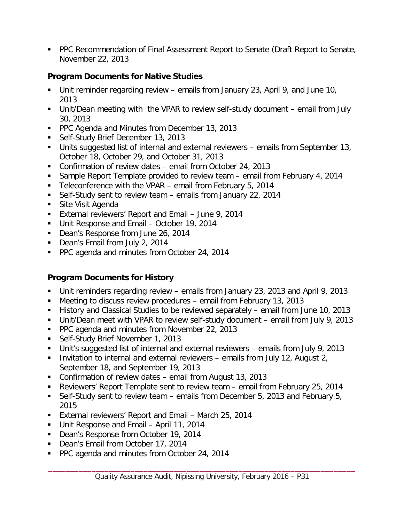PPC Recommendation of Final Assessment Report to Senate (Draft Report to Senate, November 22, 2013

#### **Program Documents for Native Studies**

- Unit reminder regarding review emails from January 23, April 9, and June 10, 2013
- Unit/Dean meeting with the VPAR to review self-study document email from July 30, 2013
- **PPC Agenda and Minutes from December 13, 2013**
- **Self-Study Brief December 13, 2013**
- Units suggested list of internal and external reviewers emails from September 13, October 18, October 29, and October 31, 2013
- Confirmation of review dates email from October 24, 2013
- Sample Report Template provided to review team email from February 4, 2014
- Teleconference with the VPAR email from February 5, 2014
- Self-Study sent to review team emails from January 22, 2014
- Site Visit Agenda
- **External reviewers' Report and Email June 9, 2014**
- Unit Response and Email October 19, 2014
- Dean's Response from June 26, 2014
- Dean's Email from July 2, 2014
- PPC agenda and minutes from October 24, 2014

# **Program Documents for History**

- Unit reminders regarding review emails from January 23, 2013 and April 9, 2013
- Meeting to discuss review procedures email from February 13, 2013
- History and Classical Studies to be reviewed separately email from June 10, 2013
- Unit/Dean meet with VPAR to review self-study document email from July 9, 2013
- **PPC agenda and minutes from November 22, 2013**
- **Self-Study Brief November 1, 2013**
- Unit's suggested list of internal and external reviewers emails from July 9, 2013
- Invitation to internal and external reviewers emails from July 12, August 2, September 18, and September 19, 2013
- Confirmation of review dates email from August 13, 2013
- Reviewers' Report Template sent to review team email from February 25, 2014
- Self-Study sent to review team emails from December 5, 2013 and February 5, 2015
- **External reviewers' Report and Email March 25, 2014**
- Unit Response and Email April 11, 2014
- Dean's Response from October 19, 2014
- Dean's Email from October 17, 2014
- **PPC agenda and minutes from October 24, 2014**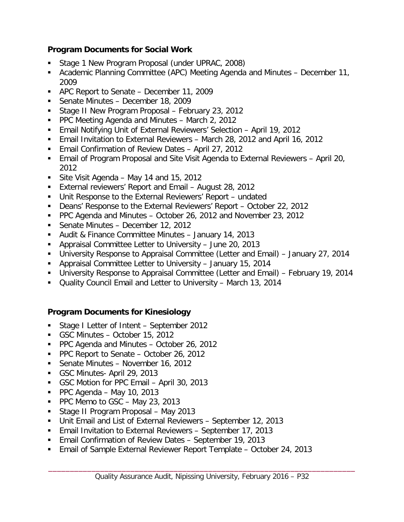## **Program Documents for Social Work**

- Stage 1 New Program Proposal (under UPRAC, 2008)
- Academic Planning Committee (APC) Meeting Agenda and Minutes December 11, 2009
- APC Report to Senate December 11, 2009
- **Senate Minutes December 18, 2009**
- **Stage II New Program Proposal February 23, 2012**
- PPC Meeting Agenda and Minutes March 2, 2012
- Email Notifying Unit of External Reviewers' Selection April 19, 2012
- Email Invitation to External Reviewers March 28, 2012 and April 16, 2012
- Email Confirmation of Review Dates April 27, 2012
- Email of Program Proposal and Site Visit Agenda to External Reviewers April 20, 2012
- Site Visit Agenda May 14 and 15, 2012
- External reviewers' Report and Email August 28, 2012
- Unit Response to the External Reviewers' Report undated
- Deans' Response to the External Reviewers' Report October 22, 2012
- PPC Agenda and Minutes October 26, 2012 and November 23, 2012
- Senate Minutes December 12, 2012
- Audit & Finance Committee Minutes January 14, 2013
- Appraisal Committee Letter to University June 20, 2013
- University Response to Appraisal Committee (Letter and Email) January 27, 2014
- Appraisal Committee Letter to University January 15, 2014
- University Response to Appraisal Committee (Letter and Email) February 19, 2014
- Quality Council Email and Letter to University March 13, 2014

# **Program Documents for Kinesiology**

- Stage I Letter of Intent September 2012
- GSC Minutes October 15, 2012
- **PPC Agenda and Minutes October 26, 2012**
- PPC Report to Senate October 26, 2012
- Senate Minutes November 16, 2012
- GSC Minutes- April 29, 2013
- GSC Motion for PPC Email April 30, 2013
- $\blacksquare$  PPC Agenda May 10, 2013
- PPC Memo to  $GSC May 23, 2013$
- Stage II Program Proposal May 2013
- Unit Email and List of External Reviewers September 12, 2013
- **Email Invitation to External Reviewers September 17, 2013**
- Email Confirmation of Review Dates September 19, 2013
- Email of Sample External Reviewer Report Template October 24, 2013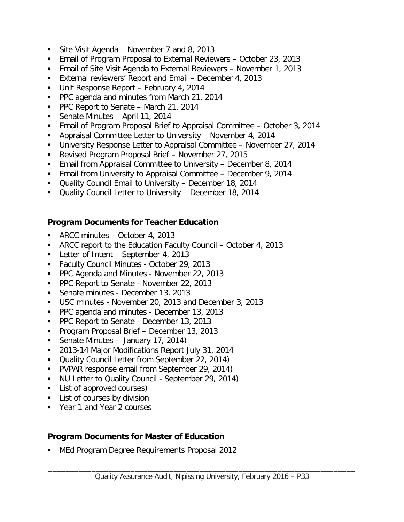- Site Visit Agenda November 7 and 8, 2013
- Email of Program Proposal to External Reviewers October 23, 2013
- Email of Site Visit Agenda to External Reviewers November 1, 2013
- External reviewers' Report and Email December 4, 2013
- Unit Response Report February 4, 2014
- **PPC agenda and minutes from March 21, 2014**
- PPC Report to Senate March 21, 2014
- Senate Minutes April 11, 2014
- Email of Program Proposal Brief to Appraisal Committee October 3, 2014
- Appraisal Committee Letter to University November 4, 2014
- University Response Letter to Appraisal Committee November 27, 2014
- Revised Program Proposal Brief November 27, 2015
- **Email from Appraisal Committee to University December 8, 2014**
- **Email from University to Appraisal Committee December 9, 2014**
- Quality Council Email to University December 18, 2014
- Quality Council Letter to University December 18, 2014

## **Program Documents for Teacher Education**

- ARCC minutes October 4, 2013
- ARCC report to the Education Faculty Council October 4, 2013
- Letter of Intent September 4, 2013
- **Faculty Council Minutes October 29, 2013**
- **PPC Agenda and Minutes November 22, 2013**
- **PPC Report to Senate November 22, 2013**
- Senate minutes December 13, 2013
- USC minutes November 20, 2013 and December 3, 2013
- **PPC agenda and minutes December 13, 2013**
- **PPC Report to Senate December 13, 2013**
- **Program Proposal Brief December 13, 2013**
- Senate Minutes January 17, 2014)
- 2013-14 Major Modifications Report July 31, 2014
- **Quality Council Letter from September 22, 2014)**
- **PVPAR response email from September 29, 2014)**
- U NU Letter to Quality Council September 29, 2014)
- **List of approved courses)**
- **List of courses by division**
- Year 1 and Year 2 courses

## **Program Documents for Master of Education**

**MEd Program Degree Requirements Proposal 2012**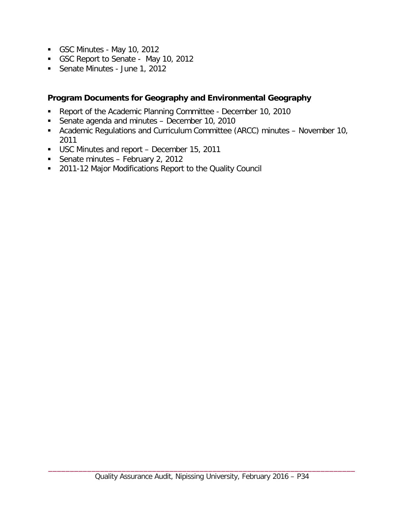- GSC Minutes May 10, 2012
- GSC Report to Senate May 10, 2012
- Senate Minutes June 1, 2012

#### **Program Documents for Geography and Environmental Geography**

- Report of the Academic Planning Committee December 10, 2010
- Senate agenda and minutes December 10, 2010
- Academic Regulations and Curriculum Committee (ARCC) minutes November 10, 2011
- USC Minutes and report December 15, 2011
- Senate minutes February 2, 2012
- **2011-12 Major Modifications Report to the Quality Council**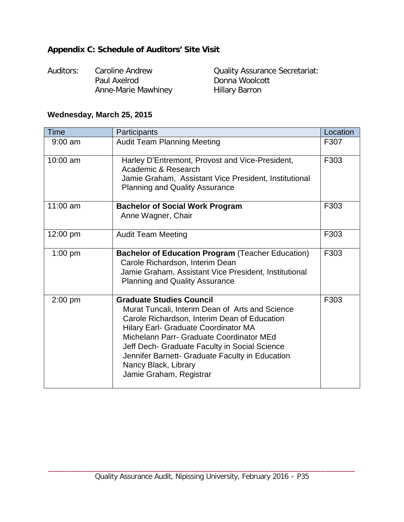# <span id="page-37-0"></span>**Appendix C: Schedule of Auditors' Site Visit**

| Auditors: | Caroline Andrew     | <b>Quality Assurance Secretariat:</b> |
|-----------|---------------------|---------------------------------------|
|           | Paul Axelrod        | Donna Woolcott                        |
|           | Anne-Marie Mawhiney | <b>Hillary Barron</b>                 |

# **Wednesday, March 25, 2015**

| <b>Time</b> | Participants                                                                                                                                                                                                                                                                                                                                                                  | Location |
|-------------|-------------------------------------------------------------------------------------------------------------------------------------------------------------------------------------------------------------------------------------------------------------------------------------------------------------------------------------------------------------------------------|----------|
| $9:00$ am   | <b>Audit Team Planning Meeting</b>                                                                                                                                                                                                                                                                                                                                            | F307     |
| 10:00 am    | Harley D'Entremont, Provost and Vice-President,<br>Academic & Research<br>Jamie Graham, Assistant Vice President, Institutional<br><b>Planning and Quality Assurance</b>                                                                                                                                                                                                      | F303     |
| 11:00 am    | <b>Bachelor of Social Work Program</b><br>Anne Wagner, Chair                                                                                                                                                                                                                                                                                                                  | F303     |
| 12:00 pm    | <b>Audit Team Meeting</b>                                                                                                                                                                                                                                                                                                                                                     | F303     |
| $1:00$ pm   | <b>Bachelor of Education Program (Teacher Education)</b><br>Carole Richardson, Interim Dean<br>Jamie Graham, Assistant Vice President, Institutional<br><b>Planning and Quality Assurance</b>                                                                                                                                                                                 | F303     |
| $2:00$ pm   | <b>Graduate Studies Council</b><br>Murat Tuncali, Interim Dean of Arts and Science<br>Carole Richardson, Interim Dean of Education<br>Hilary Earl- Graduate Coordinator MA<br>Michelann Parr- Graduate Coordinator MEd<br>Jeff Dech- Graduate Faculty in Social Science<br>Jennifer Barnett- Graduate Faculty in Education<br>Nancy Black, Library<br>Jamie Graham, Registrar | F303     |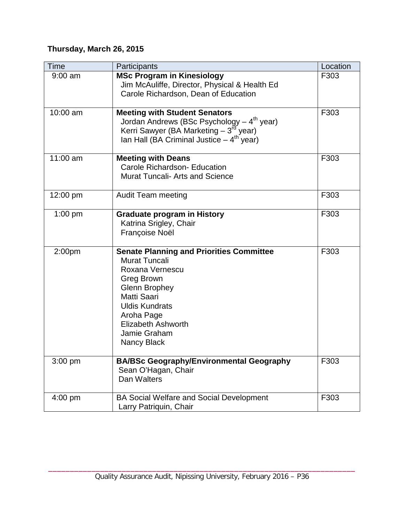# **Thursday, March 26, 2015**

| Time      | Participants                                                                                                                                                                                                                                       | Location |
|-----------|----------------------------------------------------------------------------------------------------------------------------------------------------------------------------------------------------------------------------------------------------|----------|
| $9:00$ am | <b>MSc Program in Kinesiology</b><br>Jim McAuliffe, Director, Physical & Health Ed<br>Carole Richardson, Dean of Education                                                                                                                         | F303     |
| 10:00 am  | <b>Meeting with Student Senators</b><br>Jordan Andrews (BSc Psychology $-4th$ year)<br>Kerri Sawyer (BA Marketing $-3^{rd}$ year)<br>Ian Hall (BA Criminal Justice $-4^{th}$ year)                                                                 | F303     |
| 11:00 am  | <b>Meeting with Deans</b><br>Carole Richardson- Education<br><b>Murat Tuncali- Arts and Science</b>                                                                                                                                                | F303     |
| 12:00 pm  | <b>Audit Team meeting</b>                                                                                                                                                                                                                          | F303     |
| $1:00$ pm | <b>Graduate program in History</b><br>Katrina Srigley, Chair<br>Françoise Noël                                                                                                                                                                     | F303     |
| 2:00pm    | <b>Senate Planning and Priorities Committee</b><br><b>Murat Tuncali</b><br>Roxana Vernescu<br>Greg Brown<br><b>Glenn Brophey</b><br>Matti Saari<br><b>Uldis Kundrats</b><br>Aroha Page<br><b>Elizabeth Ashworth</b><br>Jamie Graham<br>Nancy Black | F303     |
| $3:00$ pm | <b>BA/BSc Geography/Environmental Geography</b><br>Sean O'Hagan, Chair<br>Dan Walters                                                                                                                                                              | F303     |
| $4:00$ pm | <b>BA Social Welfare and Social Development</b><br>Larry Patriquin, Chair                                                                                                                                                                          | F303     |